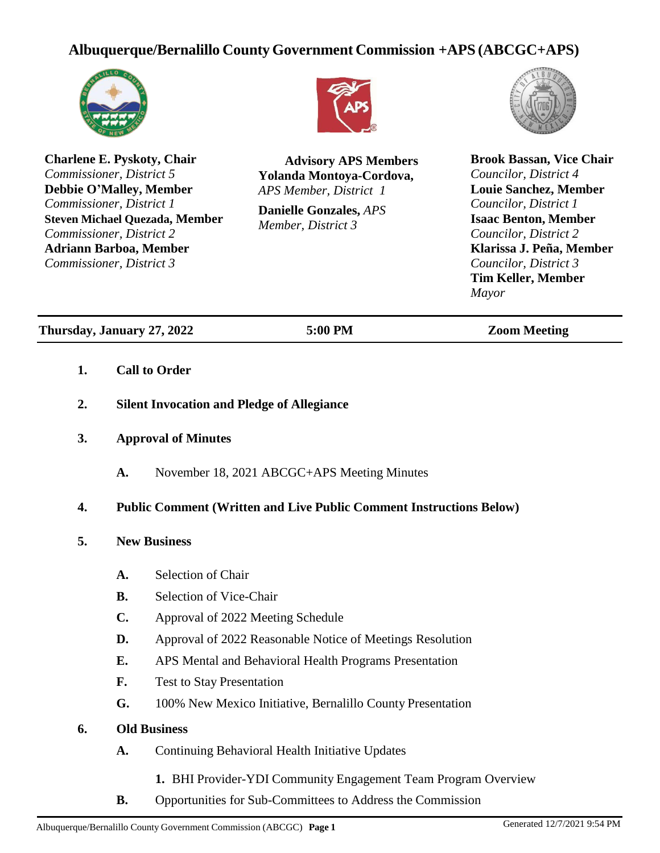# **Albuquerque/Bernalillo County Government Commission +APS (ABCGC+APS)**



**Charlene E. Pyskoty, Chair** *Commissioner, District 5* **Debbie O'Malley, Member** *Commissioner, District 1* **Steven Michael Quezada, Member** *Commissioner, District 2* **Adriann Barboa, Member** *Commissioner, District 3*



**Advisory APS Members Yolanda Montoya-Cordova,** *APS Member, District 1*

**Danielle Gonzales,** *APS Member, District 3*



**Brook Bassan, Vice Chair** *Councilor, District 4* **Louie Sanchez, Member** *Councilor, District 1* **Isaac Benton, Member** *Councilor, District 2* **Klarissa J. Peña, Member** *Councilor, District 3* **Tim Keller, Member** *Mayor*

**Thursday, January 27, 2022 5:00 PM Zoom Meeting**

- **1. Call to Order**
- **2. Silent Invocation and Pledge of Allegiance**
- **3. Approval of Minutes**
	- **A.** November 18, 2021 ABCGC+APS Meeting Minutes

# **4. Public Comment (Written and Live Public Comment Instructions Below)**

- **5. New Business**
	- **A.** Selection of Chair
	- **B.** Selection of Vice-Chair
	- **C.** Approval of 2022 Meeting Schedule
	- **D.** Approval of 2022 Reasonable Notice of Meetings Resolution
	- **E.** APS Mental and Behavioral Health Programs Presentation
	- **F.** Test to Stay Presentation
	- **G.** 100% New Mexico Initiative, Bernalillo County Presentation

# **6. Old Business**

- **A.** Continuing Behavioral Health Initiative Updates
	- **1.** BHI Provider-YDI Community Engagement Team Program Overview
- **B.** Opportunities for Sub-Committees to Address the Commission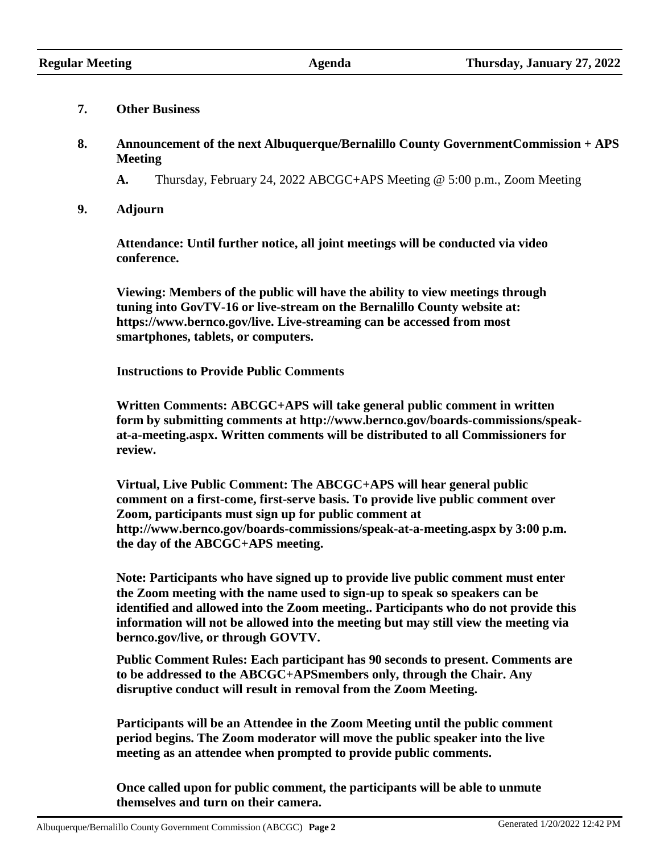#### **7. Other Business**

- **8. Announcement of the next Albuquerque/Bernalillo County GovernmentCommission + APS Meeting**
	- **A.** Thursday, February 24, 2022 ABCGC+APS Meeting @ 5:00 p.m., Zoom Meeting
- **9. Adjourn**

**Attendance: Until further notice, all joint meetings will be conducted via video conference.**

**Viewing: Members of the public will have the ability to view meetings through tuning into GovTV-16 or live-stream on the Bernalillo County website at: htt[ps://www.](http://www.bernco.gov/live)be[rnco.gov/live. L](http://www.bernco.gov/live)ive-streaming can be accessed from most smartphones, tablets, or computers.**

**Instructions to Provide Public Comments**

**Written Comments: ABCGC+APS will take general public comment in written form by submitting comments at [http://www.bernco.gov/boards-commissions/speak](http://www.bernco.gov/boards-commissions/speak-)at-a-meeting.aspx. Written comments will be distributed to all Commissioners for review.**

**Virtual, Live Public Comment: The ABCGC+APS will hear general public comment on a first-come, first-serve basis. To provide live public comment over Zoom, participants must sign up for public comment at <http://www.bernco.gov/boards-commissions/speak-at-a-meeting.aspx> by 3:00 p.m. the day of the ABCGC+APS meeting.**

**Note: Participants who have signed up to provide live public comment must enter the Zoom meeting with the name used to sign-up to speak so speakers can be identified and allowed into the Zoom meeting.. Participants who do not provide this information will not be allowed into the meeting but may still view the meeting via bernco.gov/live, or through GOVTV.**

**Public Comment Rules: Each participant has 90 seconds to present. Comments are to be addressed to the ABCGC+APSmembers only, through the Chair. Any disruptive conduct will result in removal from the Zoom Meeting.**

**Participants will be an Attendee in the Zoom Meeting until the public comment period begins. The Zoom moderator will move the public speaker into the live meeting as an attendee when prompted to provide public comments.**

**Once called upon for public comment, the participants will be able to unmute themselves and turn on their camera.**